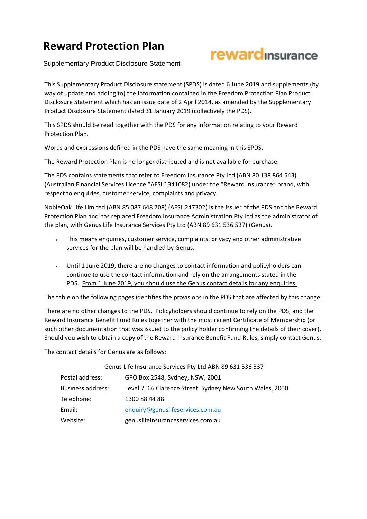## **Reward Protection Plan**



Supplementary Product Disclosure Statement

This Supplementary Product Disclosure statement (SPDS) is dated 6 June 2019 and supplements (by way of update and adding to) the information contained in the Freedom Protection Plan Product Disclosure Statement which has an issue date of 2 April 2014, as amended by the Supplementary Product Disclosure Statement dated 31 January 2019 (collectively the PDS).

This SPDS should be read together with the PDS for any information relating to your Reward Protection Plan.

Words and expressions defined in the PDS have the same meaning in this SPDS.

The Reward Protection Plan is no longer distributed and is not available for purchase.

The PDS contains statements that refer to Freedom Insurance Pty Ltd (ABN 80 138 864 543) (Australian Financial Services Licence "AFSL" 341082) under the "Reward Insurance" brand, with respect to enquiries, customer service, complaints and privacy.

NobleOak Life Limited (ABN 85 087 648 708) (AFSL 247302) is the issuer of the PDS and the Reward Protection Plan and has replaced Freedom Insurance Administration Pty Ltd as the administrator of the plan, with Genus Life Insurance Services Pty Ltd (ABN 89 631 536 537) (Genus).

- This means enquiries, customer service, complaints, privacy and other administrative services for the plan will be handled by Genus.
- Until 1 June 2019, there are no changes to contact information and policyholders can continue to use the contact information and rely on the arrangements stated in the PDS. From 1 June 2019, you should use the Genus contact details for any enquiries.

The table on the following pages identifies the provisions in the PDS that are affected by this change.

There are no other changes to the PDS. Policyholders should continue to rely on the PDS, and the Reward Insurance Benefit Fund Rules together with the most recent Certificate of Membership (or such other documentation that was issued to the policy holder confirming the details of their cover). Should you wish to obtain a copy of the Reward Insurance Benefit Fund Rules, simply contact Genus.

The contact details for Genus are as follows:

|                          | Genus Life Insurance Services Pty Ltd ABN 89 631 536 537  |
|--------------------------|-----------------------------------------------------------|
| Postal address:          | GPO Box 2548, Sydney, NSW, 2001                           |
| <b>Business address:</b> | Level 7, 66 Clarence Street, Sydney New South Wales, 2000 |
| Telephone:               | 1300 88 44 88                                             |
| Email:                   | enquiry@genuslifeservices.com.au                          |
| Website:                 | genuslifeinsuranceservices.com.au                         |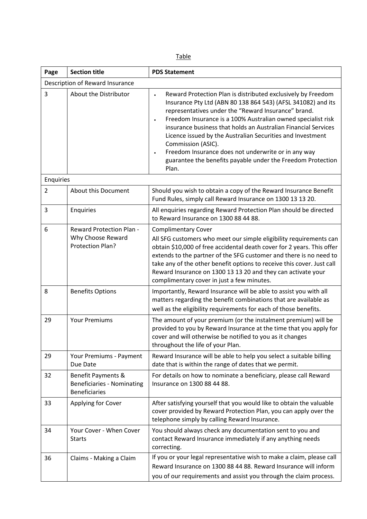| Page           | <b>Section title</b>                                                            | <b>PDS Statement</b>                                                                                                                                                                                                                                                                                                                                                                                                                                                                                                                                  |  |  |  |
|----------------|---------------------------------------------------------------------------------|-------------------------------------------------------------------------------------------------------------------------------------------------------------------------------------------------------------------------------------------------------------------------------------------------------------------------------------------------------------------------------------------------------------------------------------------------------------------------------------------------------------------------------------------------------|--|--|--|
|                | Description of Reward Insurance                                                 |                                                                                                                                                                                                                                                                                                                                                                                                                                                                                                                                                       |  |  |  |
| 3              | About the Distributor                                                           | Reward Protection Plan is distributed exclusively by Freedom<br>Insurance Pty Ltd (ABN 80 138 864 543) (AFSL 341082) and its<br>representatives under the "Reward Insurance" brand.<br>Freedom Insurance is a 100% Australian owned specialist risk<br>$\bullet$<br>insurance business that holds an Australian Financial Services<br>Licence issued by the Australian Securities and Investment<br>Commission (ASIC).<br>Freedom Insurance does not underwrite or in any way<br>guarantee the benefits payable under the Freedom Protection<br>Plan. |  |  |  |
| Enquiries      |                                                                                 |                                                                                                                                                                                                                                                                                                                                                                                                                                                                                                                                                       |  |  |  |
| $\overline{2}$ | About this Document                                                             | Should you wish to obtain a copy of the Reward Insurance Benefit<br>Fund Rules, simply call Reward Insurance on 1300 13 13 20.                                                                                                                                                                                                                                                                                                                                                                                                                        |  |  |  |
| 3              | Enquiries                                                                       | All enquiries regarding Reward Protection Plan should be directed<br>to Reward Insurance on 1300 88 44 88.                                                                                                                                                                                                                                                                                                                                                                                                                                            |  |  |  |
| 6              | <b>Reward Protection Plan -</b><br>Why Choose Reward<br>Protection Plan?        | <b>Complimentary Cover</b><br>All SFG customers who meet our simple eligibility requirements can<br>obtain \$10,000 of free accidental death cover for 2 years. This offer<br>extends to the partner of the SFG customer and there is no need to<br>take any of the other benefit options to receive this cover. Just call<br>Reward Insurance on 1300 13 13 20 and they can activate your<br>complimentary cover in just a few minutes.                                                                                                              |  |  |  |
| 8              | <b>Benefits Options</b>                                                         | Importantly, Reward Insurance will be able to assist you with all<br>matters regarding the benefit combinations that are available as<br>well as the eligibility requirements for each of those benefits.                                                                                                                                                                                                                                                                                                                                             |  |  |  |
| 29             | <b>Your Premiums</b>                                                            | The amount of your premium (or the instalment premium) will be<br>provided to you by Reward Insurance at the time that you apply for<br>cover and will otherwise be notified to you as it changes<br>throughout the life of your Plan.                                                                                                                                                                                                                                                                                                                |  |  |  |
| 29             | Your Premiums - Payment<br>Due Date                                             | Reward Insurance will be able to help you select a suitable billing<br>date that is within the range of dates that we permit.                                                                                                                                                                                                                                                                                                                                                                                                                         |  |  |  |
| 32             | Benefit Payments &<br><b>Beneficiaries - Nominating</b><br><b>Beneficiaries</b> | For details on how to nominate a beneficiary, please call Reward<br>Insurance on 1300 88 44 88.                                                                                                                                                                                                                                                                                                                                                                                                                                                       |  |  |  |
| 33             | Applying for Cover                                                              | After satisfying yourself that you would like to obtain the valuable<br>cover provided by Reward Protection Plan, you can apply over the<br>telephone simply by calling Reward Insurance.                                                                                                                                                                                                                                                                                                                                                             |  |  |  |
| 34             | Your Cover - When Cover<br><b>Starts</b>                                        | You should always check any documentation sent to you and<br>contact Reward Insurance immediately if any anything needs<br>correcting.                                                                                                                                                                                                                                                                                                                                                                                                                |  |  |  |
| 36             | Claims - Making a Claim                                                         | If you or your legal representative wish to make a claim, please call<br>Reward Insurance on 1300 88 44 88. Reward Insurance will inform<br>you of our requirements and assist you through the claim process.                                                                                                                                                                                                                                                                                                                                         |  |  |  |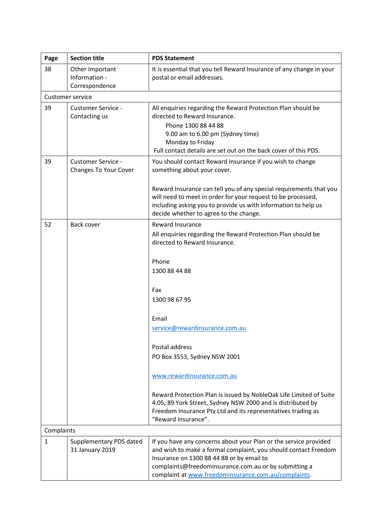| Page         | <b>Section title</b>                               | <b>PDS Statement</b>                                                                                                                                                                                                                                                                              |  |
|--------------|----------------------------------------------------|---------------------------------------------------------------------------------------------------------------------------------------------------------------------------------------------------------------------------------------------------------------------------------------------------|--|
| 38           | Other Important<br>Information -<br>Correspondence | It is essential that you tell Reward Insurance of any change in your<br>postal or email addresses.                                                                                                                                                                                                |  |
|              | <b>Customer service</b>                            |                                                                                                                                                                                                                                                                                                   |  |
| 39           | <b>Customer Service -</b><br>Contacting us         | All enquiries regarding the Reward Protection Plan should be<br>directed to Reward Insurance.<br>Phone 1300 88 44 88<br>9.00 am to 6.00 pm (Sydney time)<br>Monday to Friday<br>Full contact details are set out on the back cover of this PDS.                                                   |  |
| 39           | <b>Customer Service -</b><br>Changes To Your Cover | You should contact Reward Insurance if you wish to change<br>something about your cover.                                                                                                                                                                                                          |  |
|              |                                                    | Reward Insurance can tell you of any special requirements that you<br>will need to meet in order for your request to be processed,<br>including asking you to provide us with information to help us<br>decide whether to agree to the change.                                                    |  |
| 52           | Back cover                                         | <b>Reward Insurance</b><br>All enquiries regarding the Reward Protection Plan should be<br>directed to Reward Insurance.                                                                                                                                                                          |  |
|              |                                                    | Phone<br>1300 88 44 88                                                                                                                                                                                                                                                                            |  |
|              |                                                    | Fax<br>1300 98 67 95                                                                                                                                                                                                                                                                              |  |
|              |                                                    | Email                                                                                                                                                                                                                                                                                             |  |
|              |                                                    | service@rewardinsurance.com.au                                                                                                                                                                                                                                                                    |  |
|              |                                                    | Postal address                                                                                                                                                                                                                                                                                    |  |
|              |                                                    | PO Box 3553, Sydney NSW 2001                                                                                                                                                                                                                                                                      |  |
|              |                                                    | www.rewardinsurance.com.au                                                                                                                                                                                                                                                                        |  |
|              |                                                    | Reward Protection Plan is issued by NobleOak Life Limited of Suite<br>4.05, 89 York Street, Sydney NSW 2000 and is distributed by<br>Freedom Insurance Pty Ltd and its representatives trading as<br>"Reward Insurance".                                                                          |  |
|              | Complaints                                         |                                                                                                                                                                                                                                                                                                   |  |
| $\mathbf{1}$ | Supplementary PDS dated<br>31 January 2019         | If you have any concerns about your Plan or the service provided<br>and wish to make a formal complaint, you should contact Freedom<br>Insurance on 1300 88 44 88 or by email to<br>complaints@freedominsurance.com.au or by submitting a<br>complaint at www.freedominsurance.com.au/complaints. |  |